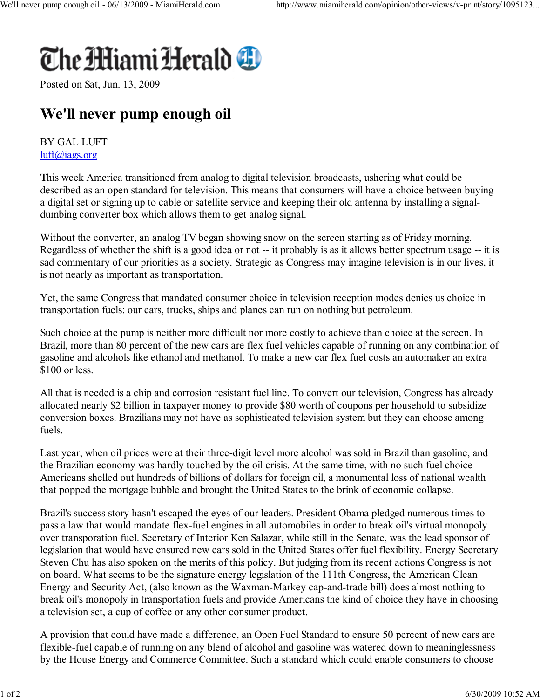

Posted on Sat, Jun. 13, 2009

## We'll never pump enough oil

## BY GAL LUFT luft@iags.org

This week America transitioned from analog to digital television broadcasts, ushering what could be described as an open standard for television. This means that consumers will have a choice between buying a digital set or signing up to cable or satellite service and keeping their old antenna by installing a signaldumbing converter box which allows them to get analog signal.

Without the converter, an analog TV began showing snow on the screen starting as of Friday morning. Regardless of whether the shift is a good idea or not -- it probably is as it allows better spectrum usage -- it is sad commentary of our priorities as a society. Strategic as Congress may imagine television is in our lives, it is not nearly as important as transportation.

Yet, the same Congress that mandated consumer choice in television reception modes denies us choice in transportation fuels: our cars, trucks, ships and planes can run on nothing but petroleum.

Such choice at the pump is neither more difficult nor more costly to achieve than choice at the screen. In Brazil, more than 80 percent of the new cars are flex fuel vehicles capable of running on any combination of gasoline and alcohols like ethanol and methanol. To make a new car flex fuel costs an automaker an extra \$100 or less.

All that is needed is a chip and corrosion resistant fuel line. To convert our television, Congress has already allocated nearly \$2 billion in taxpayer money to provide \$80 worth of coupons per household to subsidize conversion boxes. Brazilians may not have as sophisticated television system but they can choose among fuels.

Last year, when oil prices were at their three-digit level more alcohol was sold in Brazil than gasoline, and the Brazilian economy was hardly touched by the oil crisis. At the same time, with no such fuel choice Americans shelled out hundreds of billions of dollars for foreign oil, a monumental loss of national wealth that popped the mortgage bubble and brought the United States to the brink of economic collapse.

Brazil's success story hasn't escaped the eyes of our leaders. President Obama pledged numerous times to pass a law that would mandate flex-fuel engines in all automobiles in order to break oil's virtual monopoly over transporation fuel. Secretary of Interior Ken Salazar, while still in the Senate, was the lead sponsor of legislation that would have ensured new cars sold in the United States offer fuel flexibility. Energy Secretary Steven Chu has also spoken on the merits of this policy. But judging from its recent actions Congress is not on board. What seems to be the signature energy legislation of the 111th Congress, the American Clean Energy and Security Act, (also known as the Waxman-Markey cap-and-trade bill) does almost nothing to break oil's monopoly in transportation fuels and provide Americans the kind of choice they have in choosing a television set, a cup of coffee or any other consumer product.

A provision that could have made a difference, an Open Fuel Standard to ensure 50 percent of new cars are flexible-fuel capable of running on any blend of alcohol and gasoline was watered down to meaninglessness by the House Energy and Commerce Committee. Such a standard which could enable consumers to choose